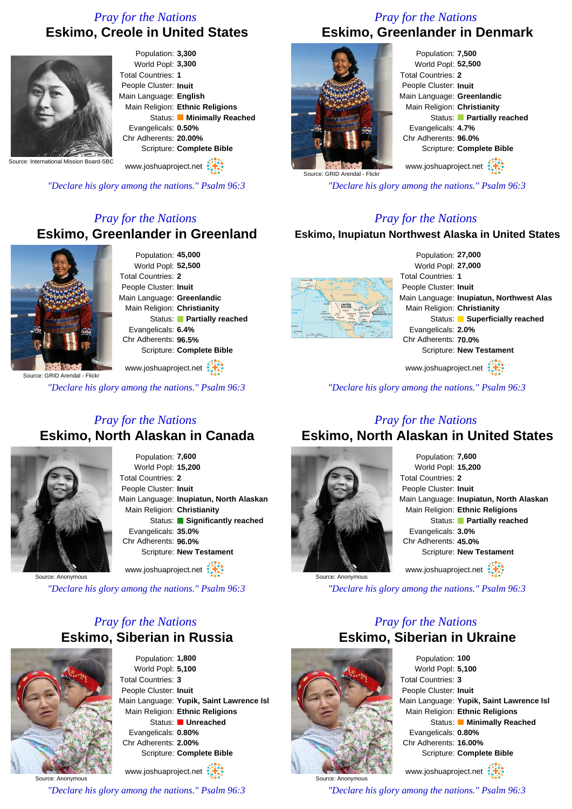# *Pray for the Nations* **Eskimo, Creole in United States**



Population: **3,300** World Popl: **3,300** Total Countries: **1** People Cluster: **Inuit** Main Language: **English** Main Religion: **Ethnic Religions** Status: **Minimally Reached** Evangelicals: **0.50%** Chr Adherents: **20.00%** Scripture: **Complete Bible**

www.joshuaproject.net

*"Declare his glory among the nations." Psalm 96:3*

## *Pray for the Nations* **Eskimo, Greenlander in Greenland**



Population: **45,000** World Popl: **52,500** Total Countries: **2** People Cluster: **Inuit** Main Language: **Greenlandic** Main Religion: **Christianity** Status: **Partially reached** Evangelicals: **6.4%** Chr Adherents: **96.5%** Scripture: **Complete Bible**

www.joshuaproject.net

*"Declare his glory among the nations." Psalm 96:3*

## *Pray for the Nations* **Eskimo, North Alaskan in Canada**



Population: **7,600** World Popl: **15,200** Total Countries: **2** People Cluster: **Inuit** Main Language: **Inupiatun, North Alaskan** Main Religion: **Christianity** Status: **Significantly reached** Evangelicals: **35.0%** Chr Adherents: **96.0%** Scripture: **New Testament** www.joshuaproject.net

Source: Anonymous

*"Declare his glory among the nations." Psalm 96:3*

## *Pray for the Nations* **Eskimo, Siberian in Russia**

Population: **1,800** World Popl: **5,100** Total Countries: **3** People Cluster: **Inuit** Main Language: **Yupik, Saint Lawrence Isl** Main Religion: **Ethnic Religions** Status: **Unreached** Evangelicals: **0.80%** Chr Adherents: **2.00%** Scripture: **Complete Bible**

Source: Anonymous www.joshuaproject.net

*"Declare his glory among the nations." Psalm 96:3*

## *Pray for the Nations* **Eskimo, Greenlander in Denmark**



Population: **7,500** World Popl: **52,500** Total Countries: **2** People Cluster: **Inuit** Main Language: **Greenlandic** Main Religion: **Christianity** Status: **Partially reached** Evangelicals: **4.7%** Chr Adherents: **96.0%** Scripture: **Complete Bible** www.joshuaproject.net

*"Declare his glory among the nations." Psalm 96:3*

## *Pray for the Nations*

#### **Eskimo, Inupiatun Northwest Alaska in United States**



Population: **27,000** World Popl: **27,000** Total Countries: **1** People Cluster: **Inuit** Main Language: **Inupiatun, Northwest Alas** Main Religion: **Christianity** Status: **Superficially reached** Evangelicals: **2.0%** Chr Adherents: **70.0%** Scripture: **New Testament**

www.joshuaproject.net

*"Declare his glory among the nations." Psalm 96:3*

## *Pray for the Nations* **Eskimo, North Alaskan in United States**



Population: **7,600** World Popl: **15,200** Total Countries: **2** People Cluster: **Inuit** Main Language: **Inupiatun, North Alaskan** Main Religion: **Ethnic Religions** Status: **Partially reached** Evangelicals: **3.0%** Chr Adherents: **45.0%** Scripture: **New Testament** www.joshuaproject.net

*"Declare his glory among the nations." Psalm 96:3*

## *Pray for the Nations* **Eskimo, Siberian in Ukraine**



Source: Anonymous

Population: **100** World Popl: **5,100** Total Countries: **3** People Cluster: **Inuit** Main Language: **Yupik, Saint Lawrence Isl** Main Religion: **Ethnic Religions** Status: **Minimally Reached** Evangelicals: **0.80%** Chr Adherents: **16.00%** Scripture: **Complete Bible**

www.joshuaproject.net

*"Declare his glory among the nations." Psalm 96:3*